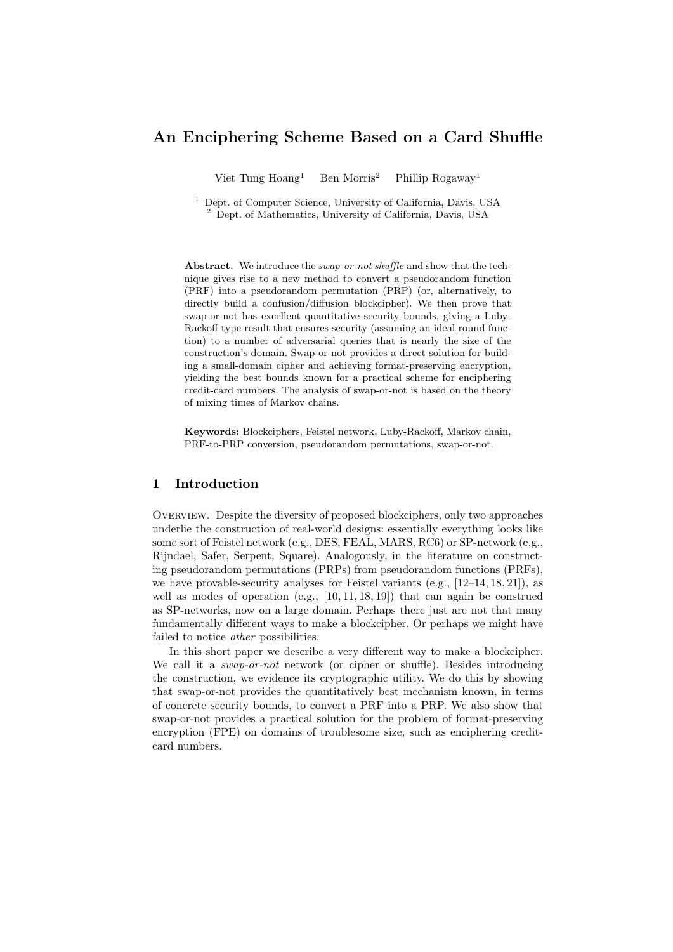# **An Enciphering Scheme Based on a Card Shuffle**

Viet Tung  $Hoang<sup>1</sup>$  Ben Morris<sup>2</sup> Phillip Rogaway<sup>1</sup>

<sup>1</sup> Dept. of Computer Science, University of California, Davis, USA <sup>2</sup> Dept. of Mathematics, University of California, Davis, USA

**Abstract.** We introduce the *swap-or-not shuffle* and show that the technique gives rise to a new method to convert a pseudorandom function (PRF) into a pseudorandom permutation (PRP) (or, alternatively, to directly build a confusion/diffusion blockcipher). We then prove that swap-or-not has excellent quantitative security bounds, giving a Luby-Rackoff type result that ensures security (assuming an ideal round function) to a number of adversarial queries that is nearly the size of the construction's domain. Swap-or-not provides a direct solution for building a small-domain cipher and achieving format-preserving encryption, yielding the best bounds known for a practical scheme for enciphering credit-card numbers. The analysis of swap-or-not is based on the theory of mixing times of Markov chains.

**Keywords:** Blockciphers, Feistel network, Luby-Rackoff, Markov chain, PRF-to-PRP conversion, pseudorandom permutations, swap-or-not.

# **1 Introduction**

Overview. Despite the diversity of proposed blockciphers, only two approaches underlie the construction of real-world designs: essentially everything looks like some sort of Feistel network (e.g., DES, FEAL, MARS, RC6) or SP-network (e.g., Rijndael, Safer, Serpent, Square). Analogously, in the literature on constructing pseudorandom permutations (PRPs) from pseudorandom functions (PRFs), we have provable-security analyses for Feistel variants  $(e.g., [12-14, 18, 21])$ , as well as modes of operation (e.g., [10, 11, 18, 19]) that can again be construed as SP-networks, now on a large domain. Perhaps there just are not that many fundamentally different ways to make a blockcipher. Or perhaps we might have failed to notice *other* possibilities.

In this short paper we describe a very different way to make a blockcipher. We call it a *swap-or-not* network (or cipher or shuffle). Besides introducing the construction, we evidence its cryptographic utility. We do this by showing that swap-or-not provides the quantitatively best mechanism known, in terms of concrete security bounds, to convert a PRF into a PRP. We also show that swap-or-not provides a practical solution for the problem of format-preserving encryption (FPE) on domains of troublesome size, such as enciphering creditcard numbers.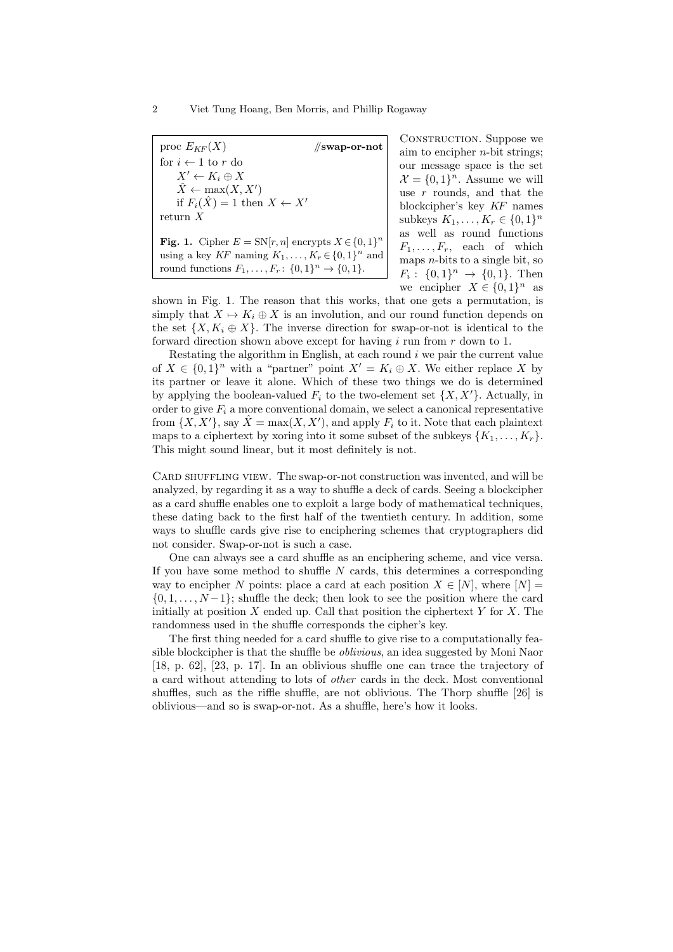proc  $E_{KF}(X)$  //**swap-or-not** for  $i \leftarrow 1$  to  $r$  do  $X' \leftarrow K_i \oplus X$  $\hat{X} \leftarrow \max(X, X')$ if  $F_i(\hat{X}) = 1$  then  $X \leftarrow X'$ return *X* **Fig. 1.** Cipher  $E = SN[r, n]$  encrypts  $X \in \{0, 1\}^n$ using a key  $KF$  naming  $K_1, \ldots, K_r \in \{0, 1\}^n$  and round functions  $F_1, \ldots, F_r: \{0, 1\}^n \to \{0, 1\}.$ 

CONSTRUCTION. Suppose we aim to encipher *n*-bit strings; our message space is the set  $\mathcal{X} = \{0, 1\}^n$ . Assume we will use *r* rounds, and that the blockcipher's key *KF* names subkeys  $K_1, ..., K_r \in \{0, 1\}^n$ as well as round functions  $F_1, \ldots, F_r$ , each of which maps *n*-bits to a single bit, so  $F_i: \{0,1\}^n \to \{0,1\}.$  Then we encipher  $X \in \{0,1\}^n$  as

shown in Fig. 1. The reason that this works, that one gets a permutation, is simply that  $X \mapsto K_i \oplus X$  is an involution, and our round function depends on the set  $\{X, K_i \oplus X\}$ . The inverse direction for swap-or-not is identical to the forward direction shown above except for having *i* run from *r* down to 1.

Restating the algorithm in English, at each round *i* we pair the current value of  $X \in \{0,1\}^n$  with a "partner" point  $X' = K_i \oplus X$ . We either replace X by its partner or leave it alone. Which of these two things we do is determined by applying the boolean-valued  $F_i$  to the two-element set  $\{X, X'\}$ . Actually, in order to give  $F_i$  a more conventional domain, we select a canonical representative from  $\{X, X'\}$ , say  $\hat{X} = \max(X, X')$ , and apply  $F_i$  to it. Note that each plaintext maps to a ciphertext by xoring into it some subset of the subkeys  $\{K_1, \ldots, K_r\}$ . This might sound linear, but it most definitely is not.

CARD SHUFFLING VIEW. The swap-or-not construction was invented, and will be analyzed, by regarding it as a way to shuffle a deck of cards. Seeing a blockcipher as a card shuffle enables one to exploit a large body of mathematical techniques, these dating back to the first half of the twentieth century. In addition, some ways to shuffle cards give rise to enciphering schemes that cryptographers did not consider. Swap-or-not is such a case.

One can always see a card shuffle as an enciphering scheme, and vice versa. If you have some method to shuffle *N* cards, this determines a corresponding way to encipher *N* points: place a card at each position  $X \in [N]$ , where  $[N] =$ *{*0*,* 1*, . . . , N −*1*}*; shuffle the deck; then look to see the position where the card initially at position  $X$  ended up. Call that position the ciphertext  $Y$  for  $X$ . The randomness used in the shuffle corresponds the cipher's key.

The first thing needed for a card shuffle to give rise to a computationally feasible blockcipher is that the shuffle be *oblivious*, an idea suggested by Moni Naor [18, p. 62], [23, p. 17]. In an oblivious shuffle one can trace the trajectory of a card without attending to lots of *other* cards in the deck. Most conventional shuffles, such as the riffle shuffle, are not oblivious. The Thorp shuffle [26] is oblivious—and so is swap-or-not. As a shuffle, here's how it looks.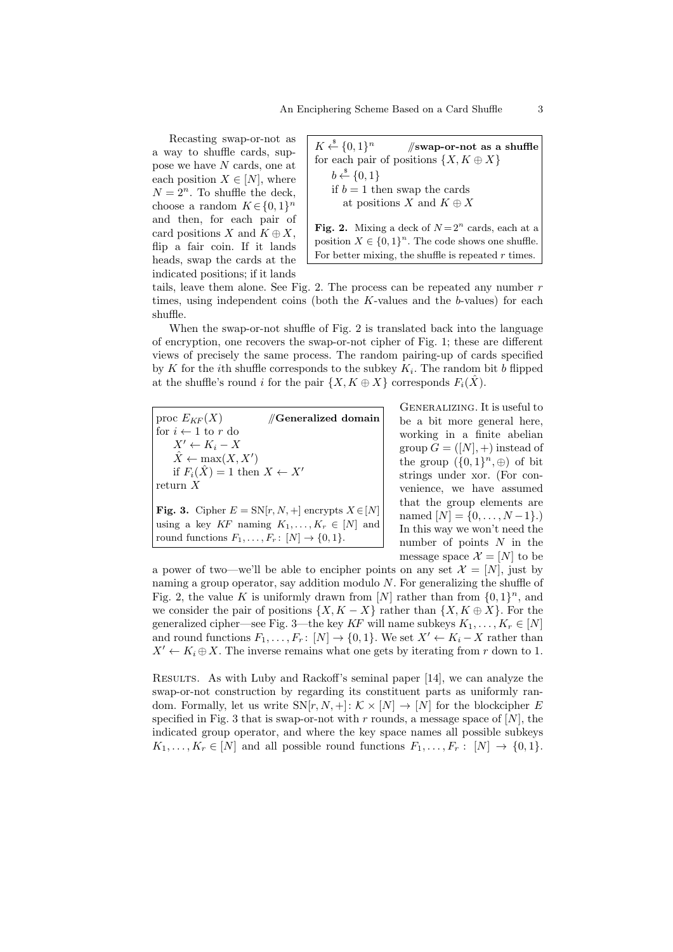Recasting swap-or-not as a way to shuffle cards, suppose we have *N* cards, one at each position  $X \in [N]$ , where  $N = 2<sup>n</sup>$ . To shuffle the deck, choose a random  $K \in \{0, 1\}^n$ and then, for each pair of card positions *X* and  $K \oplus X$ , flip a fair coin. If it lands heads, swap the cards at the indicated positions; if it lands

|                                                                                | $K \xleftarrow{\$} \{0,1\}^n$ //swap-or-not as a shuffle |
|--------------------------------------------------------------------------------|----------------------------------------------------------|
|                                                                                | for each pair of positions $\{X, K \oplus X\}$           |
| $b \stackrel{\hspace{0.1em}\mathsf{\scriptscriptstyle\$}}{\leftarrow} \{0,1\}$ |                                                          |
| if $b = 1$ then swap the cards                                                 |                                                          |
|                                                                                | at positions X and $K \oplus X$                          |
|                                                                                |                                                          |
|                                                                                | <b>Fig. 2.</b> Mixing a deck of $N=2^n$ cards, each at a |
|                                                                                | position $X \in \{0,1\}^n$ . The code shows one shuffle. |

For better mixing, the shuffle is repeated *r* times.

tails, leave them alone. See Fig. 2. The process can be repeated any number *r* times, using independent coins (both the *K*-values and the *b*-values) for each shuffle.

When the swap-or-not shuffle of Fig. 2 is translated back into the language of encryption, one recovers the swap-or-not cipher of Fig. 1; these are different views of precisely the same process. The random pairing-up of cards specified by *K* for the *i*th shuffle corresponds to the subkey  $K_i$ . The random bit *b* flipped at the shuffle's round *i* for the pair  $\{X, K \oplus X\}$  corresponds  $F_i(\hat{X})$ .

proc  $E_{KF}(X)$  //**Generalized domain** for  $i \leftarrow 1$  to  $r$  do  $X' \leftarrow K_i - X$  $\hat{X} \leftarrow \max(X, X')$ if  $F_i(\hat{X}) = 1$  then  $X \leftarrow X'$ return *X* **Fig. 3.** Cipher  $E = SN[r, N, +]$  encrypts  $X \in [N]$ 

using a key  $KF$  naming  $K_1, \ldots, K_r \in [N]$  and round functions  $F_1, \ldots, F_r: [N] \rightarrow \{0, 1\}.$ 

Generalizing. It is useful to be a bit more general here, working in a finite abelian group  $G = (N, 0)$  instead of the group  $({0, 1}^n, \oplus)$  of bit strings under xor. (For convenience, we have assumed that the group elements are named  $[N] = \{0, \ldots, N-1\}$ .) In this way we won't need the number of points *N* in the message space  $\mathcal{X} = [N]$  to be

a power of two—we'll be able to encipher points on any set  $\mathcal{X} = [N]$ , just by naming a group operator, say addition modulo *N*. For generalizing the shuffle of Fig. 2, the value K is uniformly drawn from [N] rather than from  $\{0,1\}^n$ , and we consider the pair of positions  $\{X, K - X\}$  rather than  $\{X, K \oplus X\}$ . For the generalized cipher—see Fig. 3—the key *KF* will name subkeys  $K_1, \ldots, K_r \in [N]$ and round functions  $F_1, \ldots, F_r$ :  $[N] \to \{0, 1\}$ . We set  $X' \leftarrow K_i - X$  rather than  $X' \leftarrow K_i \oplus X$ . The inverse remains what one gets by iterating from *r* down to 1.

Results. As with Luby and Rackoff's seminal paper [14], we can analyze the swap-or-not construction by regarding its constituent parts as uniformly random. Formally, let us write  $SN[r, N, +]: K \times [N] \rightarrow [N]$  for the blockcipher *E* specified in Fig. 3 that is swap-or-not with  $r$  rounds, a message space of  $[N]$ , the indicated group operator, and where the key space names all possible subkeys  $K_1, \ldots, K_r \in [N]$  and all possible round functions  $F_1, \ldots, F_r : [N] \to \{0, 1\}$ .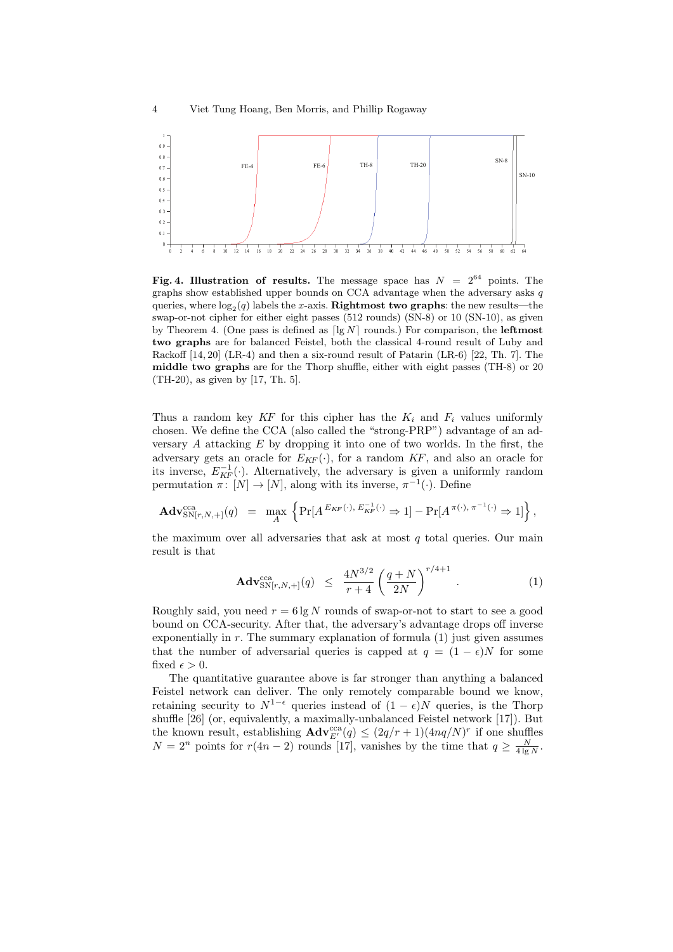

**Fig. 4. Illustration of results.** The message space has  $N = 2^{64}$  points. The graphs show established upper bounds on CCA advantage when the adversary asks *q* queries, where  $\log_2(q)$  labels the *x*-axis. **Rightmost two graphs**: the new results—the swap-or-not cipher for either eight passes (512 rounds) (SN-8) or 10 (SN-10), as given by Theorem 4. (One pass is defined as  $\lceil \lg N \rceil$  rounds.) For comparison, the **leftmost two graphs** are for balanced Feistel, both the classical 4-round result of Luby and Rackoff [14, 20] (LR-4) and then a six-round result of Patarin (LR-6) [22, Th. 7]. The **middle two graphs** are for the Thorp shuffle, either with eight passes (TH-8) or 20 (TH-20), as given by [17, Th. 5].

Thus a random key  $KF$  for this cipher has the  $K_i$  and  $F_i$  values uniformly chosen. We define the CCA (also called the "strong-PRP") advantage of an adversary *A* attacking *E* by dropping it into one of two worlds. In the first, the adversary gets an oracle for  $E_{KF}(\cdot)$ , for a random  $KF$ , and also an oracle for its inverse,  $E_{KF}^{-1}(\cdot)$ . Alternatively, the adversary is given a uniformly random permutation  $\pi$ :  $[N] \to [N]$ , along with its inverse,  $\pi^{-1}(\cdot)$ . Define

$$
\mathbf{Adv}_{\mathrm{SN}[r,N,+]}^{\mathrm{cca}}(q) = \max_{A} \left\{ \mathrm{Pr}[A^{E_{KF}(\cdot), E_{KF}^{-1}(\cdot)} \Rightarrow 1] - \mathrm{Pr}[A^{\pi(\cdot), \pi^{-1}(\cdot)} \Rightarrow 1] \right\},\,
$$

the maximum over all adversaries that ask at most *q* total queries. Our main result is that

$$
\mathbf{Adv}_{\mathrm{SN}[r,N,+]}^{\mathrm{cca}}(q) \leq \frac{4N^{3/2}}{r+4} \left(\frac{q+N}{2N}\right)^{r/4+1} . \tag{1}
$$

Roughly said, you need  $r = 6 \lg N$  rounds of swap-or-not to start to see a good bound on CCA-security. After that, the adversary's advantage drops off inverse exponentially in  $r$ . The summary explanation of formula  $(1)$  just given assumes that the number of adversarial queries is capped at  $q = (1 - \epsilon)N$  for some fixed  $\epsilon > 0$ .

The quantitative guarantee above is far stronger than anything a balanced Feistel network can deliver. The only remotely comparable bound we know, retaining security to  $N^{1-\epsilon}$  queries instead of  $(1-\epsilon)N$  queries, is the Thorp shuffle [26] (or, equivalently, a maximally-unbalanced Feistel network [17]). But the known result, establishing  $\mathbf{Adv}_{E'}^{\text{cca}}(q) \leq (2q/r + 1)(4nq/N)^r$  if one shuffles  $N = 2^n$  points for  $r(4n - 2)$  rounds [17], vanishes by the time that  $q \ge \frac{N}{4 \lg N}$ .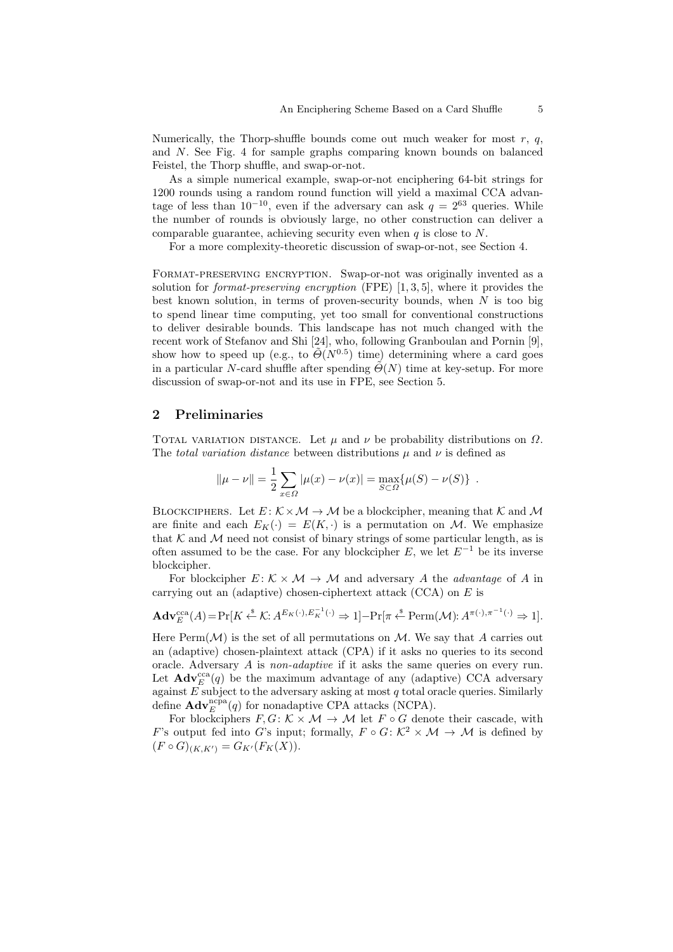Numerically, the Thorp-shuffle bounds come out much weaker for most *r*, *q*, and *N*. See Fig. 4 for sample graphs comparing known bounds on balanced Feistel, the Thorp shuffle, and swap-or-not.

As a simple numerical example, swap-or-not enciphering 64-bit strings for 1200 rounds using a random round function will yield a maximal CCA advantage of less than  $10^{-10}$ , even if the adversary can ask  $q = 2^{63}$  queries. While the number of rounds is obviously large, no other construction can deliver a comparable guarantee, achieving security even when *q* is close to *N*.

For a more complexity-theoretic discussion of swap-or-not, see Section 4.

FORMAT-PRESERVING ENCRYPTION. Swap-or-not was originally invented as a solution for *format-preserving encryption* (FPE) [1, 3, 5], where it provides the best known solution, in terms of proven-security bounds, when *N* is too big to spend linear time computing, yet too small for conventional constructions to deliver desirable bounds. This landscape has not much changed with the recent work of Stefanov and Shi [24], who, following Granboulan and Pornin [9], show how to speed up (e.g., to  $\tilde{\Theta}(N^{0.5})$  time) determining where a card goes in a particular *N*-card shuffle after spending  $\tilde{\Theta}(N)$  time at key-setup. For more discussion of swap-or-not and its use in FPE, see Section 5.

#### **2 Preliminaries**

TOTAL VARIATION DISTANCE. Let  $\mu$  and  $\nu$  be probability distributions on  $\Omega$ . The *total variation distance* between distributions *µ* and *ν* is defined as

$$
\|\mu - \nu\| = \frac{1}{2} \sum_{x \in \Omega} |\mu(x) - \nu(x)| = \max_{S \subset \Omega} {\{\mu(S) - \nu(S)\}}.
$$

BLOCKCIPHERS. Let  $E: K \times M \rightarrow M$  be a blockcipher, meaning that  $K$  and  $M$ are finite and each  $E_K(\cdot) = E(K, \cdot)$  is a permutation on *M*. We emphasize that  $K$  and  $M$  need not consist of binary strings of some particular length, as is often assumed to be the case. For any blockcipher *E*, we let *E−*<sup>1</sup> be its inverse blockcipher.

For blockcipher  $E: K \times M \rightarrow M$  and adversary *A* the *advantage* of *A* in carrying out an (adaptive) chosen-ciphertext attack (CCA) on *E* is

$$
\mathbf{Adv}_{E}^{\mathrm{cca}}(A) = \Pr[K \xleftarrow{\$} \mathcal{K} : A^{E_{K}(\cdot), E_{K}^{-1}(\cdot)} \Rightarrow 1] - \Pr[\pi \xleftarrow{\$} \mathrm{Perm}(\mathcal{M}) : A^{\pi(\cdot), \pi^{-1}(\cdot)} \Rightarrow 1].
$$

Here  $\text{Perm}(\mathcal{M})$  is the set of all permutations on  $\mathcal{M}$ . We say that A carries out an (adaptive) chosen-plaintext attack (CPA) if it asks no queries to its second oracle. Adversary *A* is *non-adaptive* if it asks the same queries on every run. Let  $\mathbf{Adv}_{E}^{\text{cca}}(q)$  be the maximum advantage of any (adaptive) CCA adversary against *E* subject to the adversary asking at most *q* total oracle queries. Similarly define  $\mathbf{Adv}_{E}^{\text{ncpa}}(q)$  for nonadaptive CPA attacks (NCPA).

For blockciphers  $F, G: K \times M \rightarrow M$  let  $F \circ G$  denote their cascade, with *F*'s output fed into *G*'s input; formally,  $F \circ G: \mathcal{K}^2 \times \mathcal{M} \to \mathcal{M}$  is defined by  $(F \circ G)_{(K,K')} = G_{K'}(F_K(X)).$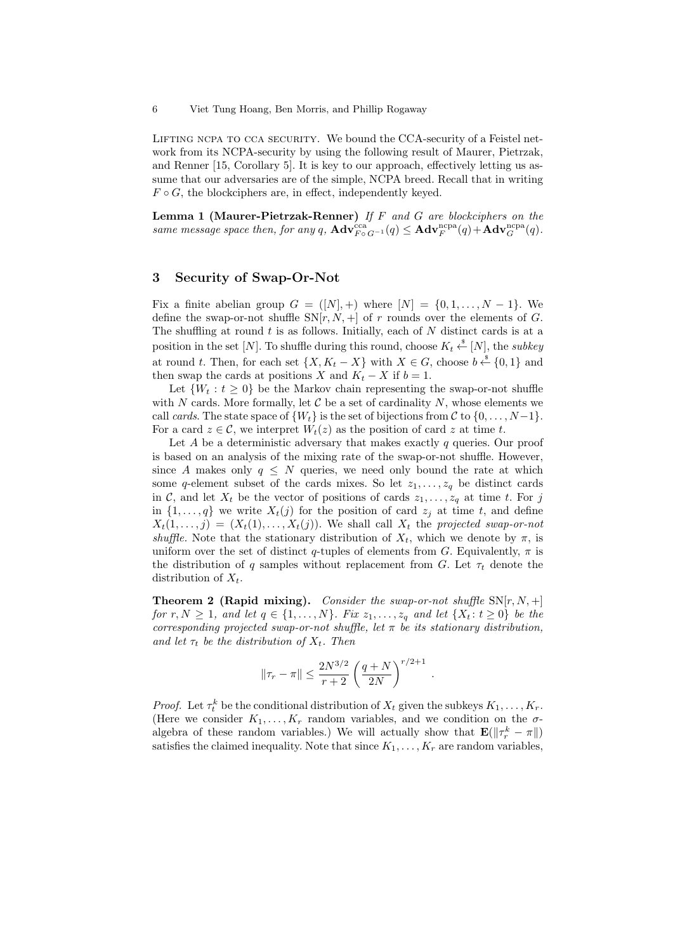6 Viet Tung Hoang, Ben Morris, and Phillip Rogaway

LIFTING NCPA TO CCA SECURITY. We bound the CCA-security of a Feistel network from its NCPA-security by using the following result of Maurer, Pietrzak, and Renner [15, Corollary 5]. It is key to our approach, effectively letting us assume that our adversaries are of the simple, NCPA breed. Recall that in writing  $F \circ G$ , the blockciphers are, in effect, independently keyed.

**Lemma 1 (Maurer-Pietrzak-Renner)** *If F and G are blockciphers on the same message space then, for any*  $q$ ,  $\mathbf{Adv}_{F^{\circ}G^{-1}}^{cca}(q) \leq \mathbf{Adv}_{F}^{ncpa}(q) + \mathbf{Adv}_{G}^{ncpa}(q)$ .

# **3 Security of Swap-Or-Not**

Fix a finite abelian group  $G = (N, +)$  where  $[N] = \{0, 1, \ldots, N - 1\}$ . We define the swap-or-not shuffle  $SN[r, N, +]$  of *r* rounds over the elements of *G*. The shuffling at round *t* is as follows. Initially, each of *N* distinct cards is at a position in the set [*N*]. To shuffle during this round, choose  $K_t \overset{\hspace{0.1em}\mathsf{\scriptscriptstyle\$}}{\leftarrow} [N]$ , the *subkey* at round *t*. Then, for each set  $\{X, K_t - X\}$  with  $X \in G$ , choose  $b \stackrel{\$}{\leftarrow} \{0, 1\}$  and then swap the cards at positions *X* and  $K_t - X$  if  $b = 1$ .

Let  $\{W_t : t \geq 0\}$  be the Markov chain representing the swap-or-not shuffle with  $N$  cards. More formally, let  $C$  be a set of cardinality  $N$ , whose elements we call *cards*. The state space of  $\{W_t\}$  is the set of bijections from  $\mathcal{C}$  to  $\{0, \ldots, N-1\}$ . For a card  $z \in \mathcal{C}$ , we interpret  $W_t(z)$  as the position of card  $z$  at time  $t$ .

Let *A* be a deterministic adversary that makes exactly *q* queries. Our proof is based on an analysis of the mixing rate of the swap-or-not shuffle. However, since *A* makes only  $q \leq N$  queries, we need only bound the rate at which some *q*-element subset of the cards mixes. So let  $z_1, \ldots, z_q$  be distinct cards in *C*, and let  $X_t$  be the vector of positions of cards  $z_1, \ldots, z_q$  at time *t*. For *j* in  $\{1, \ldots, q\}$  we write  $X_t(j)$  for the position of card  $z_j$  at time *t*, and define  $X_t(1,\ldots,j) = (X_t(1),\ldots,X_t(j))$ . We shall call  $X_t$  the *projected swap-or-not shuffle.* Note that the stationary distribution of  $X_t$ , which we denote by  $\pi$ , is uniform over the set of distinct *q*-tuples of elements from *G*. Equivalently,  $\pi$  is the distribution of *q* samples without replacement from *G*. Let  $\tau_t$  denote the distribution of *Xt*.

**Theorem 2 (Rapid mixing).** *Consider the swap-or-not shuffle*  $SN[r, N, +]$ for  $r, N \geq 1$ , and let  $q \in \{1, ..., N\}$ . Fix  $z_1, ..., z_q$  and let  $\{X_t : t \geq 0\}$  be the *corresponding projected swap-or-not shuffle, let π be its stationary distribution, and let*  $\tau_t$  *be the distribution of*  $X_t$ *. Then* 

$$
\|\tau_r - \pi\| \leq \frac{2N^{3/2}}{r+2} \left(\frac{q+N}{2N}\right)^{r/2+1}
$$

*.*

*Proof.* Let  $\tau_t^k$  be the conditional distribution of  $X_t$  given the subkeys  $K_1, \ldots, K_r$ . (Here we consider  $K_1, \ldots, K_r$  random variables, and we condition on the  $\sigma$ algebra of these random variables.) We will actually show that  $\mathbf{E}(\|\tau_r^k - \pi\|)$ satisfies the claimed inequality. Note that since  $K_1, \ldots, K_r$  are random variables,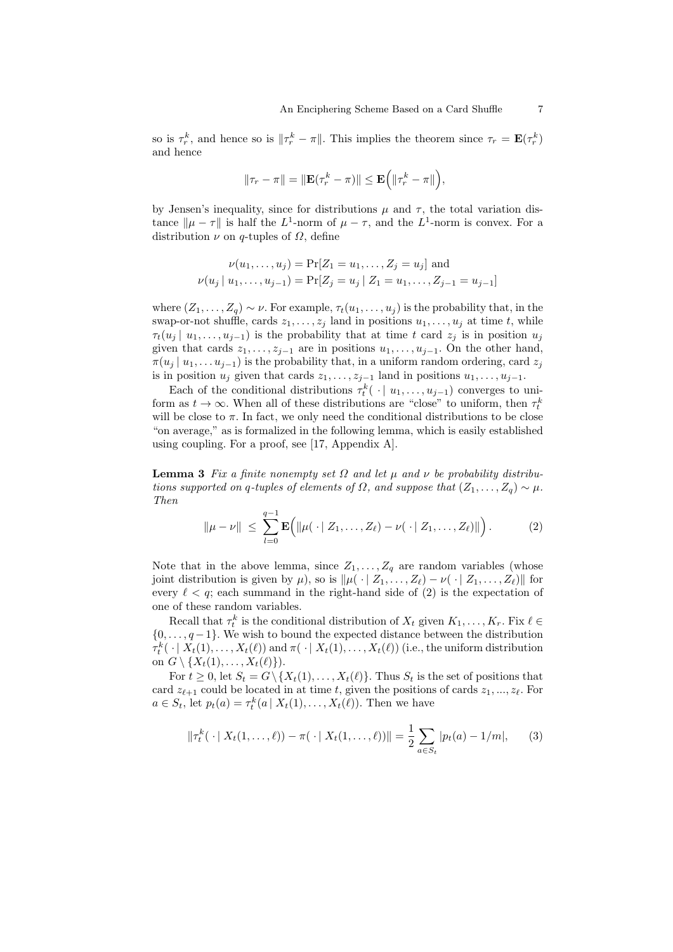so is  $\tau_r^k$ , and hence so is  $\|\tau_r^k - \tau\|$ . This implies the theorem since  $\tau_r = \mathbf{E}(\tau_r^k)$ and hence

$$
\|\tau_r - \pi\| = \|\mathbf{E}(\tau_r^k - \pi)\| \le \mathbf{E} \Big( \|\tau_r^k - \pi\|\Big),
$$

by Jensen's inequality, since for distributions  $\mu$  and  $\tau$ , the total variation distance  $\|\mu - \tau\|$  is half the *L*<sup>1</sup>-norm of  $\mu - \tau$ , and the *L*<sup>1</sup>-norm is convex. For a distribution  $\nu$  on  $q$ -tuples of  $\Omega$ , define

$$
\nu(u_1, \dots, u_j) = \Pr[Z_1 = u_1, \dots, Z_j = u_j] \text{ and}
$$

$$
\nu(u_j \mid u_1, \dots, u_{j-1}) = \Pr[Z_j = u_j \mid Z_1 = u_1, \dots, Z_{j-1} = u_{j-1}]
$$

where  $(Z_1, \ldots, Z_q) \sim \nu$ . For example,  $\tau_t(u_1, \ldots, u_j)$  is the probability that, in the swap-or-not shuffle, cards  $z_1, \ldots, z_j$  land in positions  $u_1, \ldots, u_j$  at time *t*, while  $\tau_t(u_j | u_1, \ldots, u_{j-1})$  is the probability that at time *t* card  $z_j$  is in position  $u_j$ given that cards  $z_1, \ldots, z_{j-1}$  are in positions  $u_1, \ldots, u_{j-1}$ . On the other hand,  $\pi(u_j | u_1, \ldots, u_{j-1})$  is the probability that, in a uniform random ordering, card  $z_j$ is in position  $u_j$  given that cards  $z_1, \ldots, z_{j-1}$  land in positions  $u_1, \ldots, u_{j-1}$ .

Each of the conditional distributions  $\tau_t^k(\cdot | u_1, \ldots, u_{j-1})$  converges to uniform as  $t \to \infty$ . When all of these distributions are "close" to uniform, then  $\tau_t^k$ will be close to  $\pi$ . In fact, we only need the conditional distributions to be close "on average," as is formalized in the following lemma, which is easily established using coupling. For a proof, see [17, Appendix A].

**Lemma 3** *Fix a finite nonempty set*  $Ω$  *and let*  $μ$  *and*  $ν$  *be probability distributions supported on q-tuples of elements of*  $\Omega$ *, and suppose that*  $(Z_1, \ldots, Z_q) \sim \mu$ *. Then*

$$
\|\mu - \nu\| \leq \sum_{l=0}^{q-1} \mathbf{E} \Big( \|\mu(\cdot \mid Z_1, \dots, Z_\ell) - \nu(\cdot \mid Z_1, \dots, Z_\ell)\| \Big).
$$
 (2)

Note that in the above lemma, since  $Z_1, \ldots, Z_q$  are random variables (whose joint distribution is given by  $\mu$ ), so is  $\|\mu(\cdot | Z_1, \ldots, Z_\ell) - \nu(\cdot | Z_1, \ldots, Z_\ell)\|$  for every  $\ell < q$ ; each summand in the right-hand side of (2) is the expectation of one of these random variables.

Recall that  $\tau_t^k$  is the conditional distribution of  $X_t$  given  $K_1, \ldots, K_r$ . Fix  $\ell \in$ *{*0*, . . . , q −*1*}*. We wish to bound the expected distance between the distribution  $\tau_t^k(\cdot | X_t(1), \ldots, X_t(\ell))$  and  $\pi(\cdot | X_t(1), \ldots, X_t(\ell))$  (i.e., the uniform distribution on  $G \setminus \{X_t(1), \ldots, X_t(\ell)\}\)$ .

For  $t \geq 0$ , let  $S_t = G \setminus \{X_t(1), \ldots, X_t(\ell)\}\$ . Thus  $S_t$  is the set of positions that card  $z_{\ell+1}$  could be located in at time *t*, given the positions of cards  $z_1, ..., z_\ell$ . For  $a \in S_t$ , let  $p_t(a) = \tau_t^k(a \mid X_t(1), \ldots, X_t(\ell))$ . Then we have

$$
\|\tau_t^k(\cdot\,|\,X_t(1,\ldots,\ell)) - \pi(\cdot\,|\,X_t(1,\ldots,\ell))\| = \frac{1}{2}\sum_{a\in S_t}|p_t(a) - 1/m|,\qquad(3)
$$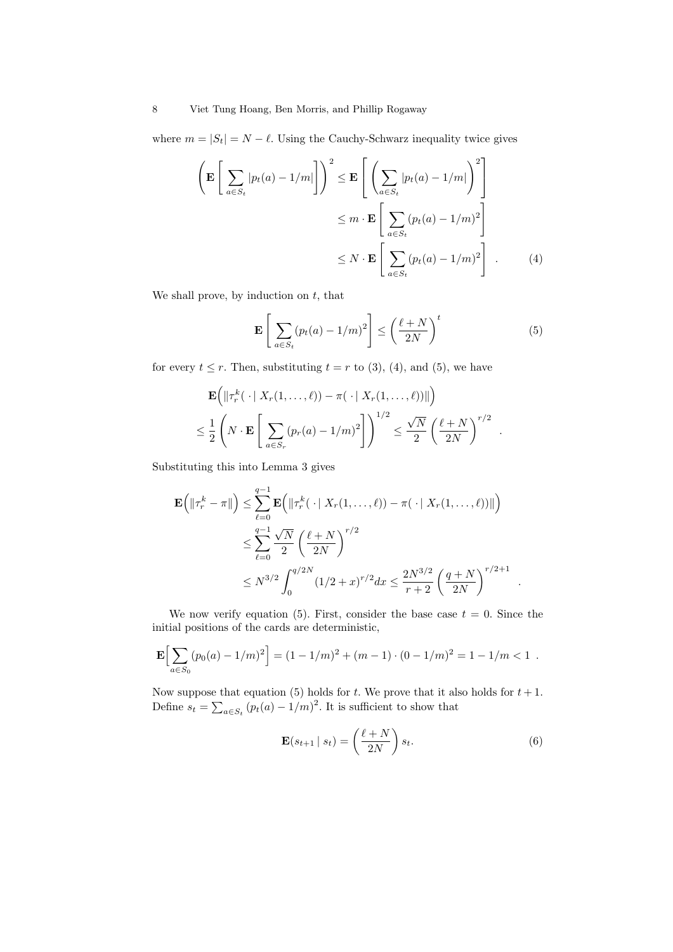where  $m = |S_t| = N - \ell$ . Using the Cauchy-Schwarz inequality twice gives

$$
\left(\mathbf{E}\left[\sum_{a\in S_t} |p_t(a) - 1/m|\right]\right)^2 \leq \mathbf{E}\left[\left(\sum_{a\in S_t} |p_t(a) - 1/m|\right)^2\right]
$$

$$
\leq m \cdot \mathbf{E}\left[\sum_{a\in S_t} (p_t(a) - 1/m)^2\right]
$$

$$
\leq N \cdot \mathbf{E}\left[\sum_{a\in S_t} (p_t(a) - 1/m)^2\right].
$$
 (4)

We shall prove, by induction on *t*, that

$$
\mathbf{E}\left[\sum_{a\in S_t} (p_t(a) - 1/m)^2\right] \le \left(\frac{\ell+N}{2N}\right)^t \tag{5}
$$

for every  $t \leq r$ . Then, substituting  $t = r$  to (3), (4), and (5), we have

$$
\mathbf{E}\Big(\|\tau_r^k(\cdot\mid X_r(1,\ldots,\ell)) - \pi(\cdot\mid X_r(1,\ldots,\ell))\|\Big) \leq \frac{1}{2}\left(N \cdot \mathbf{E}\left[\sum_{a \in S_r} (p_r(a) - 1/m)^2\right]\right)^{1/2} \leq \frac{\sqrt{N}}{2}\left(\frac{\ell+N}{2N}\right)^{r/2} .
$$

Substituting this into Lemma 3 gives

$$
\mathbf{E}\left(\|\tau_r^k - \pi\|\right) \le \sum_{\ell=0}^{q-1} \mathbf{E}\left(\|\tau_r^k(\cdot \mid X_r(1,\dots,\ell)) - \pi(\cdot \mid X_r(1,\dots,\ell))\|\right)
$$
  

$$
\le \sum_{\ell=0}^{q-1} \frac{\sqrt{N}}{2} \left(\frac{\ell+N}{2N}\right)^{r/2}
$$
  

$$
\le N^{3/2} \int_0^{q/2N} (1/2 + x)^{r/2} dx \le \frac{2N^{3/2}}{r+2} \left(\frac{q+N}{2N}\right)^{r/2+1}
$$

We now verify equation (5). First, consider the base case  $t = 0$ . Since the initial positions of the cards are deterministic,

$$
\mathbf{E}\Big[\sum_{a\in S_0} (p_0(a)-1/m)^2\Big] = (1-1/m)^2 + (m-1)\cdot (0-1/m)^2 = 1-1/m < 1.
$$

Now suppose that equation (5) holds for  $t$ . We prove that it also holds for  $t + 1$ . Define  $s_t = \sum_{a \in S_t} (p_t(a) - 1/m)^2$ . It is sufficient to show that

$$
\mathbf{E}(s_{t+1} \mid s_t) = \left(\frac{\ell+N}{2N}\right) s_t.
$$
\n(6)

*.*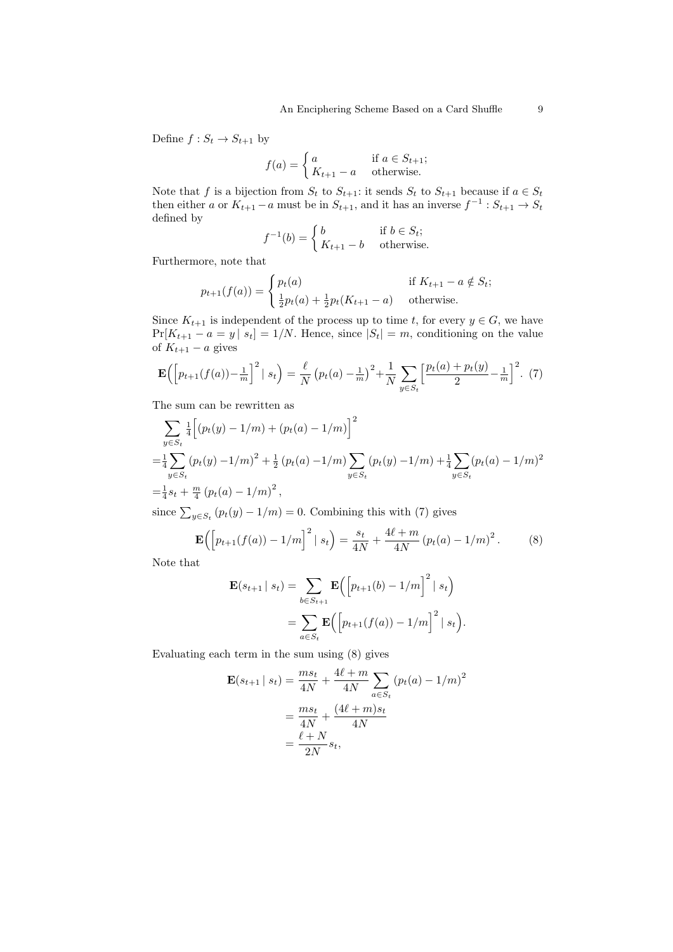Define  $f: S_t \to S_{t+1}$  by

$$
f(a) = \begin{cases} a & \text{if } a \in S_{t+1}; \\ K_{t+1} - a & \text{otherwise.} \end{cases}
$$

Note that *f* is a bijection from  $S_t$  to  $S_{t+1}$ : it sends  $S_t$  to  $S_{t+1}$  because if  $a \in S_t$ then either *a* or  $K_{t+1} - a$  must be in  $S_{t+1}$ , and it has an inverse  $f^{-1}: S_{t+1} \to S_t$ defined by

$$
f^{-1}(b) = \begin{cases} b & \text{if } b \in S_t; \\ K_{t+1} - b & \text{otherwise.} \end{cases}
$$

Furthermore, note that

$$
p_{t+1}(f(a)) = \begin{cases} p_t(a) & \text{if } K_{t+1} - a \notin S_t; \\ \frac{1}{2}p_t(a) + \frac{1}{2}p_t(K_{t+1} - a) & \text{otherwise.} \end{cases}
$$

Since  $K_{t+1}$  is independent of the process up to time *t*, for every  $y \in G$ , we have  $Pr[K_{t+1} - a = y | s_t] = 1/N$ . Hence, since  $|S_t| = m$ , conditioning on the value of  $K_{t+1} - a$  gives

$$
\mathbf{E}\left(\left[p_{t+1}(f(a)) - \frac{1}{m}\right]^2 \mid s_t\right) = \frac{\ell}{N} \left(p_t(a) - \frac{1}{m}\right)^2 + \frac{1}{N} \sum_{y \in S_t} \left[\frac{p_t(a) + p_t(y)}{2} - \frac{1}{m}\right]^2. (7)
$$

The sum can be rewritten as

$$
\sum_{y \in S_t} \frac{1}{4} \Big[ (p_t(y) - 1/m) + (p_t(a) - 1/m) \Big]^2
$$
  
=  $\frac{1}{4} \sum_{y \in S_t} (p_t(y) - 1/m)^2 + \frac{1}{2} (p_t(a) - 1/m) \sum_{y \in S_t} (p_t(y) - 1/m) + \frac{1}{4} \sum_{y \in S_t} (p_t(a) - 1/m)^2$   
=  $\frac{1}{4} s_t + \frac{m}{4} (p_t(a) - 1/m)^2$ ,

since  $\sum_{y \in S_t} (p_t(y) - 1/m) = 0$ . Combining this with (7) gives

$$
\mathbf{E}\left(\left[p_{t+1}(f(a)) - 1/m\right]^2 \mid s_t\right) = \frac{s_t}{4N} + \frac{4\ell + m}{4N} \left(p_t(a) - 1/m\right)^2. \tag{8}
$$

Note that

$$
\mathbf{E}(s_{t+1} | s_t) = \sum_{b \in S_{t+1}} \mathbf{E} \Big( \Big[ p_{t+1}(b) - 1/m \Big]^2 | s_t \Big)
$$
  
= 
$$
\sum_{a \in S_t} \mathbf{E} \Big( \Big[ p_{t+1}(f(a)) - 1/m \Big]^2 | s_t \Big).
$$

Evaluating each term in the sum using (8) gives

$$
\mathbf{E}(s_{t+1} | s_t) = \frac{ms_t}{4N} + \frac{4\ell + m}{4N} \sum_{a \in S_t} (p_t(a) - 1/m)^2
$$
  
= 
$$
\frac{ms_t}{4N} + \frac{(4\ell + m)s_t}{4N}
$$
  
= 
$$
\frac{\ell + N}{2N} s_t,
$$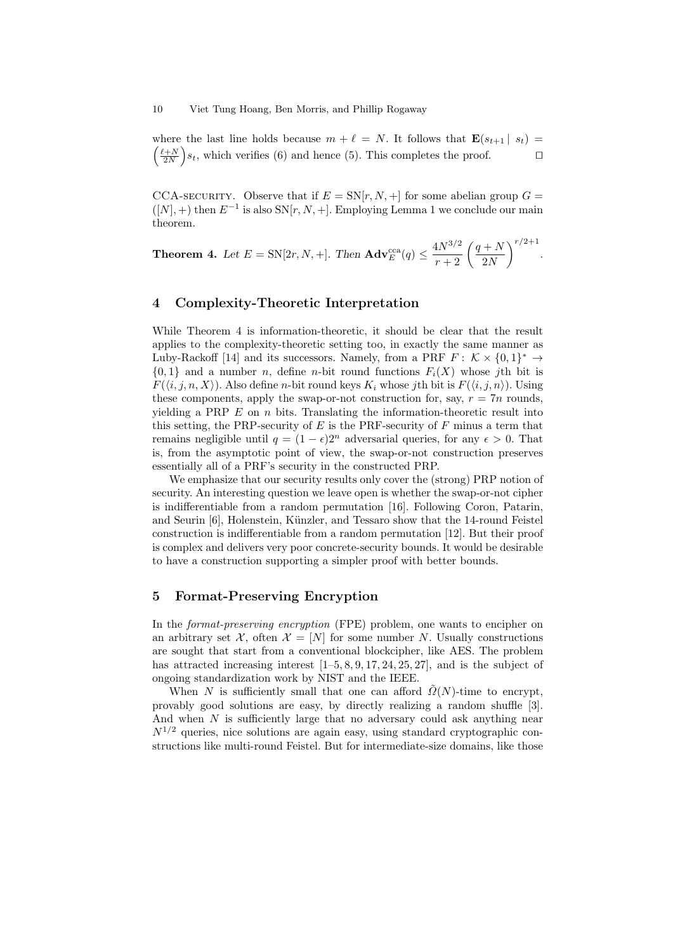10 Viet Tung Hoang, Ben Morris, and Phillip Rogaway

where the last line holds because  $m + \ell = N$ . It follows that  $\mathbf{E}(s_{t+1} | s_t) =$  $\left(\frac{\ell+N}{2N}\right)$  $\big)$ *s*<sub>t</sub>, which verifies (6) and hence (5). This completes the proof.  $\Box$ 

CCA-SECURITY. Observe that if  $E = SN[r, N, +]$  for some abelian group  $G =$  $([N], +)$  then  $E^{-1}$  is also  $SN[r, N, +]$ . Employing Lemma 1 we conclude our main theorem.

**Theorem 4.** Let  $E = SN[2r, N, +]$ . Then  $\mathbf{Adv}_{E}^{\text{cca}}(q) \leq$  $\frac{4N^{3/2}}{r+2}$   $\left(\frac{q+N}{2N}\right)$ 2*N*  $\sqrt{r/2+1}$ *.*

# **4 Complexity-Theoretic Interpretation**

While Theorem 4 is information-theoretic, it should be clear that the result applies to the complexity-theoretic setting too, in exactly the same manner as Luby-Rackoff [14] and its successors. Namely, from a PRF  $F: \mathcal{K} \times \{0,1\}^* \to$  $\{0,1\}$  and a number *n*, define *n*-bit round functions  $F_i(X)$  whose *j*th bit is *F*( $\langle i, j, n, X \rangle$ ). Also define *n*-bit round keys  $K_i$  whose *j*th bit is  $F(\langle i, j, n \rangle)$ . Using these components, apply the swap-or-not construction for, say,  $r = 7n$  rounds, yielding a PRP *E* on *n* bits. Translating the information-theoretic result into this setting, the PRP-security of *E* is the PRF-security of *F* minus a term that remains negligible until  $q = (1 - \epsilon)2^n$  adversarial queries, for any  $\epsilon > 0$ . That is, from the asymptotic point of view, the swap-or-not construction preserves essentially all of a PRF's security in the constructed PRP.

We emphasize that our security results only cover the (strong) PRP notion of security. An interesting question we leave open is whether the swap-or-not cipher is indifferentiable from a random permutation [16]. Following Coron, Patarin, and Seurin [6], Holenstein, Künzler, and Tessaro show that the 14-round Feistel construction is indifferentiable from a random permutation [12]. But their proof is complex and delivers very poor concrete-security bounds. It would be desirable to have a construction supporting a simpler proof with better bounds.

#### **5 Format-Preserving Encryption**

In the *format-preserving encryption* (FPE) problem, one wants to encipher on an arbitrary set  $\mathcal{X}$ , often  $\mathcal{X} = [N]$  for some number *N*. Usually constructions are sought that start from a conventional blockcipher, like AES. The problem has attracted increasing interest  $[1–5, 8, 9, 17, 24, 25, 27]$ , and is the subject of ongoing standardization work by NIST and the IEEE.

When *N* is sufficiently small that one can afford  $\Omega(N)$ -time to encrypt, provably good solutions are easy, by directly realizing a random shuffle [3]. And when *N* is sufficiently large that no adversary could ask anything near  $N^{1/2}$  queries, nice solutions are again easy, using standard cryptographic constructions like multi-round Feistel. But for intermediate-size domains, like those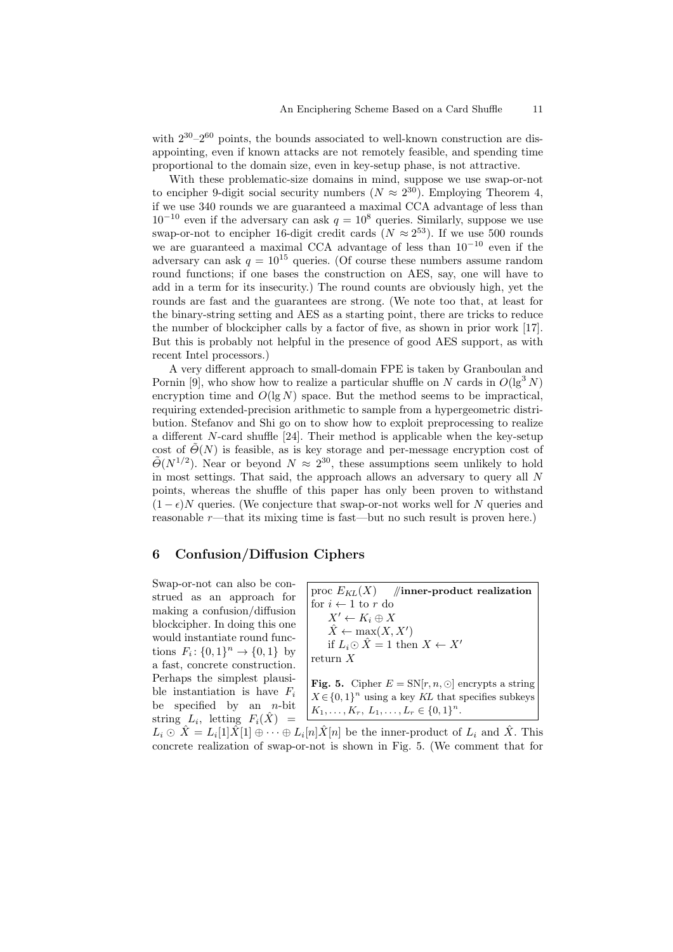with  $2^{30} - 2^{60}$  points, the bounds associated to well-known construction are disappointing, even if known attacks are not remotely feasible, and spending time proportional to the domain size, even in key-setup phase, is not attractive.

With these problematic-size domains in mind, suppose we use swap-or-not to encipher 9-digit social security numbers  $(N \approx 2^{30})$ . Employing Theorem 4, if we use 340 rounds we are guaranteed a maximal CCA advantage of less than  $10^{-10}$  even if the adversary can ask  $q = 10^8$  queries. Similarly, suppose we use swap-or-not to encipher 16-digit credit cards  $(N \approx 2^{53})$ . If we use 500 rounds we are guaranteed a maximal CCA advantage of less than 10*−*<sup>10</sup> even if the adversary can ask  $q = 10^{15}$  queries. (Of course these numbers assume random round functions; if one bases the construction on AES, say, one will have to add in a term for its insecurity.) The round counts are obviously high, yet the rounds are fast and the guarantees are strong. (We note too that, at least for the binary-string setting and AES as a starting point, there are tricks to reduce the number of blockcipher calls by a factor of five, as shown in prior work [17]. But this is probably not helpful in the presence of good AES support, as with recent Intel processors.)

A very different approach to small-domain FPE is taken by Granboulan and Pornin [9], who show how to realize a particular shuffle on *N* cards in  $O(\lg^3 N)$ encryption time and  $O(\lg N)$  space. But the method seems to be impractical, requiring extended-precision arithmetic to sample from a hypergeometric distribution. Stefanov and Shi go on to show how to exploit preprocessing to realize a different *N*-card shuffle [24]. Their method is applicable when the key-setup cost of  $\Theta(N)$  is feasible, as is key storage and per-message encryption cost of  $\tilde{\Theta}(N^{1/2})$ . Near or beyond  $N \approx 2^{30}$ , these assumptions seem unlikely to hold in most settings. That said, the approach allows an adversary to query all *N* points, whereas the shuffle of this paper has only been proven to withstand  $(1 - \epsilon)N$  queries. (We conjecture that swap-or-not works well for *N* queries and reasonable *r*—that its mixing time is fast—but no such result is proven here.)

## **6 Confusion/Diffusion Ciphers**

Swap-or-not can also be construed as an approach for making a confusion/diffusion blockcipher. In doing this one would instantiate round functions  $F_i: \{0, 1\}^n \to \{0, 1\}$  by a fast, concrete construction. Perhaps the simplest plausible instantiation is have *F<sup>i</sup>* be specified by an *n*-bit  $\text{string}$   $L_i$ , letting  $F_i(\hat{X})$  =

proc  $E_{KL}(X)$  //*inner-product realization* for  $i \leftarrow 1$  to  $r$  do  $X' \leftarrow K_i \oplus X$  $\hat{X} \leftarrow \max(X, X')$ if  $L_i$ ⊙  $\hat{X}$  = 1 then  $X \leftarrow X'$ return *X* **Fig. 5.** Cipher  $E = SN[r, n, \odot]$  encrypts a string  $X \in \{0, 1\}^n$  using a key *KL* that specifies subkeys  $K_1, \ldots, K_r, L_1, \ldots, L_r \in \{0, 1\}^n$ .

 $L_i \odot \hat{X} = L_i[1]\tilde{X}[1] \oplus \cdots \oplus L_i[n]\tilde{X}[n]$  be the inner-product of  $L_i$  and  $\hat{X}$ . This concrete realization of swap-or-not is shown in Fig. 5. (We comment that for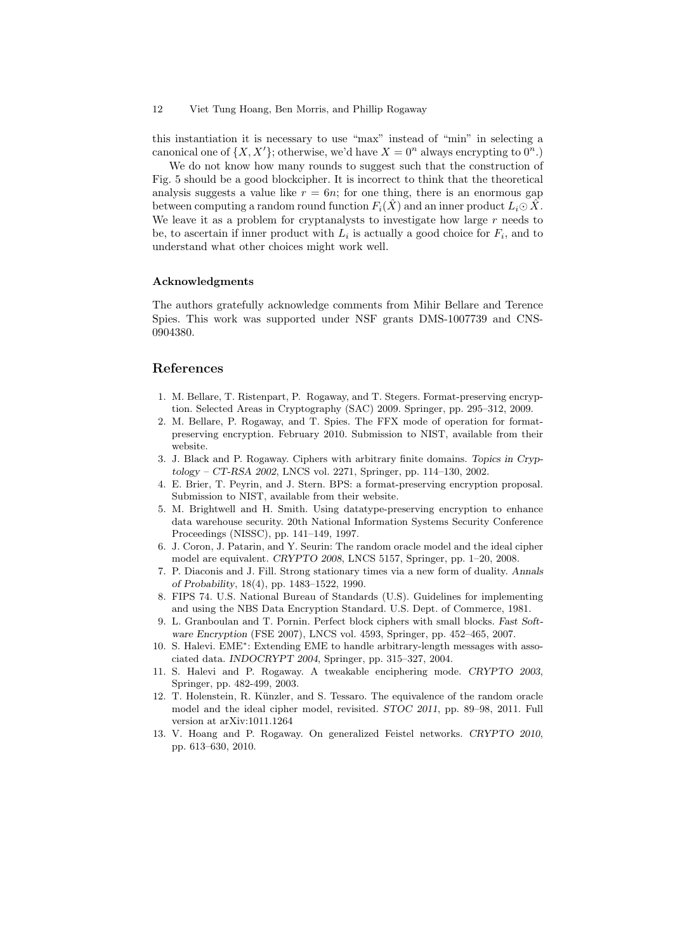#### 12 Viet Tung Hoang, Ben Morris, and Phillip Rogaway

this instantiation it is necessary to use "max" instead of "min" in selecting a canonical one of  $\{X, X'\}$ ; otherwise, we'd have  $X = 0^n$  always encrypting to  $0^n$ .)

We do not know how many rounds to suggest such that the construction of Fig. 5 should be a good blockcipher. It is incorrect to think that the theoretical analysis suggests a value like  $r = 6n$ ; for one thing, there is an enormous gap between computing a random round function  $F_i(\hat{X})$  and an inner product  $L_i \odot \hat{X}$ . We leave it as a problem for cryptanalysts to investigate how large *r* needs to be, to ascertain if inner product with  $L_i$  is actually a good choice for  $F_i$ , and to understand what other choices might work well.

#### **Acknowledgments**

The authors gratefully acknowledge comments from Mihir Bellare and Terence Spies. This work was supported under NSF grants DMS-1007739 and CNS-0904380.

### **References**

- 1. M. Bellare, T. Ristenpart, P. Rogaway, and T. Stegers. Format-preserving encryption. Selected Areas in Cryptography (SAC) 2009. Springer, pp. 295–312, 2009.
- 2. M. Bellare, P. Rogaway, and T. Spies. The FFX mode of operation for formatpreserving encryption. February 2010. Submission to NIST, available from their website.
- 3. J. Black and P. Rogaway. Ciphers with arbitrary finite domains. *Topics in Cryptology – CT-RSA 2002*, LNCS vol. 2271, Springer, pp. 114–130, 2002.
- 4. E. Brier, T. Peyrin, and J. Stern. BPS: a format-preserving encryption proposal. Submission to NIST, available from their website.
- 5. M. Brightwell and H. Smith. Using datatype-preserving encryption to enhance data warehouse security. 20th National Information Systems Security Conference Proceedings (NISSC), pp. 141–149, 1997.
- 6. J. Coron, J. Patarin, and Y. Seurin: The random oracle model and the ideal cipher model are equivalent. *CRYPTO 2008*, LNCS 5157, Springer, pp. 1–20, 2008.
- 7. P. Diaconis and J. Fill. Strong stationary times via a new form of duality. *Annals of Probability*, 18(4), pp. 1483–1522, 1990.
- 8. FIPS 74. U.S. National Bureau of Standards (U.S). Guidelines for implementing and using the NBS Data Encryption Standard. U.S. Dept. of Commerce, 1981.
- 9. L. Granboulan and T. Pornin. Perfect block ciphers with small blocks. *Fast Software Encryption* (FSE 2007), LNCS vol. 4593, Springer, pp. 452–465, 2007.
- 10. S. Halevi. EME*<sup>∗</sup>* : Extending EME to handle arbitrary-length messages with associated data. *INDOCRYPT 2004*, Springer, pp. 315–327, 2004.
- 11. S. Halevi and P. Rogaway. A tweakable enciphering mode. *CRYPTO 2003*, Springer, pp. 482-499, 2003.
- 12. T. Holenstein, R. Künzler, and S. Tessaro. The equivalence of the random oracle model and the ideal cipher model, revisited. *STOC 2011*, pp. 89–98, 2011. Full version at arXiv:1011.1264
- 13. V. Hoang and P. Rogaway. On generalized Feistel networks. *CRYPTO 2010*, pp. 613–630, 2010.